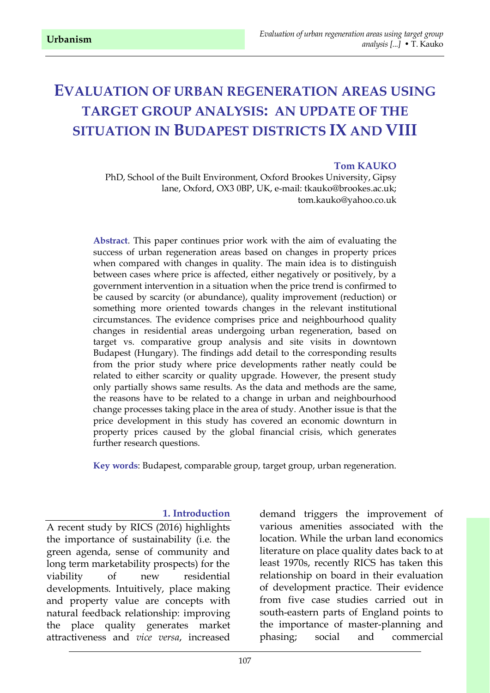# **EVALUATION OF URBAN REGENERATION AREAS USING TARGET GROUP ANALYSIS: AN UPDATE OF THE SITUATION IN BUDAPEST DISTRICTS IX AND VIII**

#### **Tom KAUKO**

PhD, School of the Built Environment, Oxford Brookes University, Gipsy lane, Oxford, OX3 0BP, UK, e-mail: tkauko@brookes.ac.uk; tom.kauko@yahoo.co.uk

**Abstract**. This paper continues prior work with the aim of evaluating the success of urban regeneration areas based on changes in property prices when compared with changes in quality. The main idea is to distinguish between cases where price is affected, either negatively or positively, by a government intervention in a situation when the price trend is confirmed to be caused by scarcity (or abundance), quality improvement (reduction) or something more oriented towards changes in the relevant institutional circumstances. The evidence comprises price and neighbourhood quality changes in residential areas undergoing urban regeneration, based on target vs. comparative group analysis and site visits in downtown Budapest (Hungary). The findings add detail to the corresponding results from the prior study where price developments rather neatly could be related to either scarcity or quality upgrade. However, the present study only partially shows same results. As the data and methods are the same, the reasons have to be related to a change in urban and neighbourhood change processes taking place in the area of study. Another issue is that the price development in this study has covered an economic downturn in property prices caused by the global financial crisis, which generates further research questions.

**Key words**: Budapest, comparable group, target group, urban regeneration.

#### **1. Introduction**

A recent study by RICS (2016) highlights the importance of sustainability (i.e. the green agenda, sense of community and long term marketability prospects) for the viability of new residential developments. Intuitively, place making and property value are concepts with natural feedback relationship: improving the place quality generates market attractiveness and *vice versa*, increased

demand triggers the improvement of various amenities associated with the location. While the urban land economics literature on place quality dates back to at least 1970s, recently RICS has taken this relationship on board in their evaluation of development practice. Their evidence from five case studies carried out in south-eastern parts of England points to the importance of master-planning and phasing; social and commercial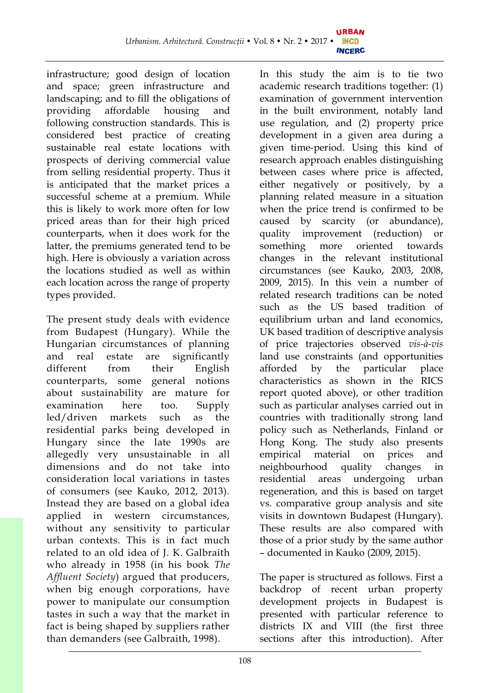infrastructure; good design of location and space; green infrastructure and landscaping; and to fill the obligations of providing affordable housing and following construction standards. This is considered best practice of creating sustainable real estate locations with prospects of deriving commercial value from selling residential property. Thus it is anticipated that the market prices a successful scheme at a premium. While this is likely to work more often for low priced areas than for their high priced counterparts, when it does work for the latter, the premiums generated tend to be high. Here is obviously a variation across the locations studied as well as within each location across the range of property types provided.

The present study deals with evidence from Budapest (Hungary). While the Hungarian circumstances of planning and real estate are significantly different from their English counterparts, some general notions about sustainability are mature for examination here too. Supply led/driven markets such as the residential parks being developed in Hungary since the late 1990s are allegedly very unsustainable in all dimensions and do not take into consideration local variations in tastes of consumers (see Kauko, 2012, 2013). Instead they are based on a global idea applied in western circumstances, without any sensitivity to particular urban contexts. This is in fact much related to an old idea of J. K. Galbraith who already in 1958 (in his book *The Affluent Society*) argued that producers, when big enough corporations, have power to manipulate our consumption tastes in such a way that the market in fact is being shaped by suppliers rather than demanders (see Galbraith, 1998).

In this study the aim is to tie two academic research traditions together: (1) examination of government intervention in the built environment, notably land use regulation, and (2) property price development in a given area during a given time-period. Using this kind of research approach enables distinguishing between cases where price is affected, either negatively or positively, by a planning related measure in a situation when the price trend is confirmed to be caused by scarcity (or abundance), quality improvement (reduction) or something more oriented towards changes in the relevant institutional circumstances (see Kauko, 2003, 2008, 2009, 2015). In this vein a number of related research traditions can be noted such as the US based tradition of equilibrium urban and land economics, UK based tradition of descriptive analysis of price trajectories observed *vis-à-vis* land use constraints (and opportunities afforded by the particular place characteristics as shown in the RICS report quoted above), or other tradition such as particular analyses carried out in countries with traditionally strong land policy such as Netherlands, Finland or Hong Kong. The study also presents empirical material on prices and neighbourhood quality changes in residential areas undergoing urban regeneration, and this is based on target vs. comparative group analysis and site visits in downtown Budapest (Hungary). These results are also compared with those of a prior study by the same author – documented in Kauko (2009, 2015).

The paper is structured as follows. First a backdrop of recent urban property development projects in Budapest is presented with particular reference to districts IX and VIII (the first three sections after this introduction). After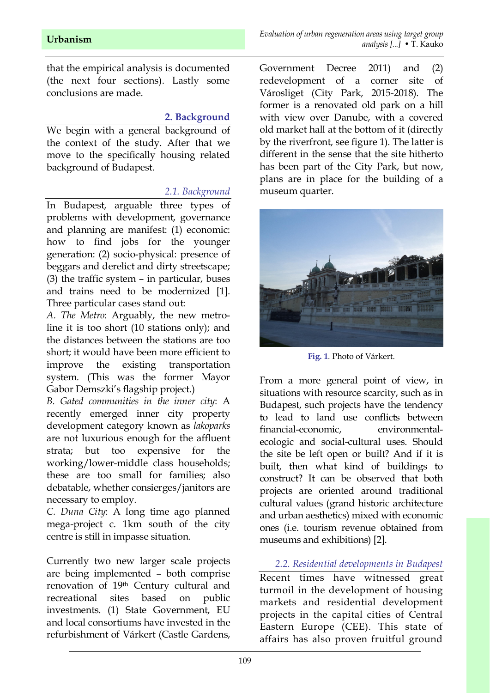that the empirical analysis is documented (the next four sections). Lastly some conclusions are made.

#### **2. Background**

We begin with a general background of the context of the study. After that we move to the specifically housing related background of Budapest.

#### *2.1. Background*

In Budapest, arguable three types of problems with development, governance and planning are manifest: (1) economic: how to find jobs for the younger generation: (2) socio-physical: presence of beggars and derelict and dirty streetscape; (3) the traffic system – in particular, buses and trains need to be modernized [1]. Three particular cases stand out:

*A. The Metro*: Arguably, the new metroline it is too short (10 stations only); and the distances between the stations are too short; it would have been more efficient to improve the existing transportation system. (This was the former Mayor Gabor Demszki's flagship project.)

*B. Gated communities in the inner city*: A recently emerged inner city property development category known as *lakoparks* are not luxurious enough for the affluent strata; but too expensive for the working/lower-middle class households; these are too small for families; also debatable, whether consierges/janitors are necessary to employ.

*C. Duna City*: A long time ago planned mega-project c. 1km south of the city centre is still in impasse situation.

Currently two new larger scale projects are being implemented – both comprise renovation of 19th Century cultural and recreational sites based on public investments. (1) State Government, EU and local consortiums have invested in the refurbishment of Várkert (Castle Gardens,

Government Decree 2011) and (2) redevelopment of a corner site of Városliget (City Park, 2015-2018). The former is a renovated old park on a hill with view over Danube, with a covered old market hall at the bottom of it (directly by the riverfront, see figure 1). The latter is different in the sense that the site hitherto has been part of the City Park, but now, plans are in place for the building of a museum quarter.



**Fig. 1**. Photo of Várkert.

From a more general point of view, in situations with resource scarcity, such as in Budapest, such projects have the tendency to lead to land use conflicts between financial-economic, environmentalecologic and social-cultural uses. Should the site be left open or built? And if it is built, then what kind of buildings to construct? It can be observed that both projects are oriented around traditional cultural values (grand historic architecture and urban aesthetics) mixed with economic ones (i.e. tourism revenue obtained from museums and exhibitions) [2].

*2.2. Residential developments in Budapest* Recent times have witnessed great turmoil in the development of housing markets and residential development projects in the capital cities of Central Eastern Europe (CEE). This state of affairs has also proven fruitful ground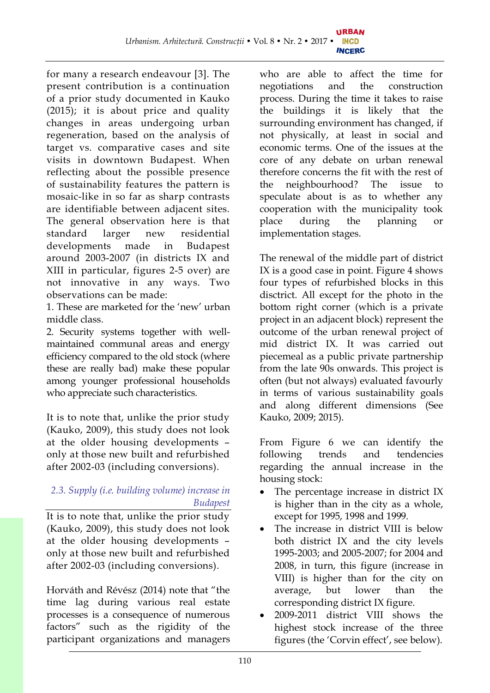for many a research endeavour [3]. The present contribution is a continuation of a prior study documented in Kauko (2015); it is about price and quality changes in areas undergoing urban regeneration, based on the analysis of target vs. comparative cases and site visits in downtown Budapest. When reflecting about the possible presence of sustainability features the pattern is mosaic-like in so far as sharp contrasts are identifiable between adjacent sites. The general observation here is that standard larger new residential developments made in Budapest around 2003-2007 (in districts IX and XIII in particular, figures 2-5 over) are not innovative in any ways. Two observations can be made:

1. These are marketed for the 'new' urban middle class.

2. Security systems together with wellmaintained communal areas and energy efficiency compared to the old stock (where these are really bad) make these popular among younger professional households who appreciate such characteristics.

It is to note that, unlike the prior study (Kauko, 2009), this study does not look at the older housing developments – only at those new built and refurbished after 2002-03 (including conversions).

# *2.3. Supply (i.e. building volume) increase in Budapest*

It is to note that, unlike the prior study (Kauko, 2009), this study does not look at the older housing developments – only at those new built and refurbished after 2002-03 (including conversions).

Horváth and Révész (2014) note that "the time lag during various real estate processes is a consequence of numerous factors" such as the rigidity of the participant organizations and managers who are able to affect the time for negotiations and the construction process. During the time it takes to raise the buildings it is likely that the surrounding environment has changed, if not physically, at least in social and economic terms. One of the issues at the core of any debate on urban renewal therefore concerns the fit with the rest of the neighbourhood? The issue to speculate about is as to whether any cooperation with the municipality took place during the planning or implementation stages.

The renewal of the middle part of district IX is a good case in point. Figure 4 shows four types of refurbished blocks in this disctrict. All except for the photo in the bottom right corner (which is a private project in an adjacent block) represent the outcome of the urban renewal project of mid district IX. It was carried out piecemeal as a public private partnership from the late 90s onwards. This project is often (but not always) evaluated favourly in terms of various sustainability goals and along different dimensions (See Kauko, 2009; 2015).

From Figure 6 we can identify the following trends and tendencies regarding the annual increase in the housing stock:

- The percentage increase in district IX is higher than in the city as a whole, except for 1995, 1998 and 1999.
- The increase in district VIII is below both district IX and the city levels 1995-2003; and 2005-2007; for 2004 and 2008, in turn, this figure (increase in VIII) is higher than for the city on average, but lower than the corresponding district IX figure.
- · 2009-2011 district VIII shows the highest stock increase of the three figures (the 'Corvin effect', see below).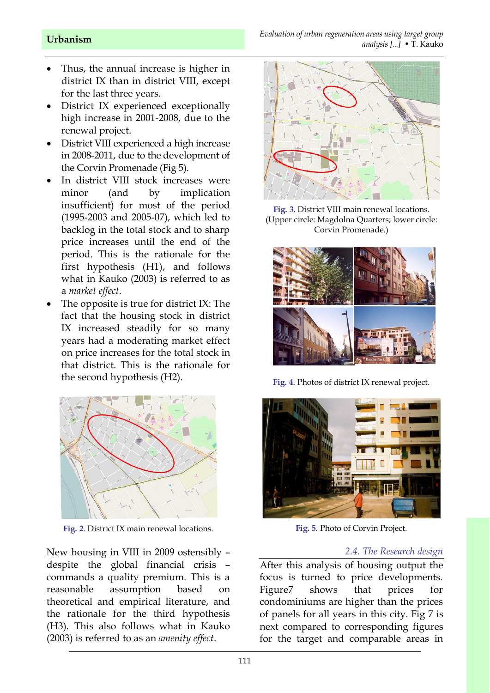- · Thus, the annual increase is higher in district IX than in district VIII, except for the last three years.
- · District IX experienced exceptionally high increase in 2001-2008, due to the renewal project.
- District VIII experienced a high increase in 2008-2011, due to the development of the Corvin Promenade (Fig 5).
- In district VIII stock increases were minor (and by implication insufficient) for most of the period (1995-2003 and 2005-07), which led to backlog in the total stock and to sharp price increases until the end of the period. This is the rationale for the first hypothesis (H1), and follows what in Kauko (2003) is referred to as a *market effect*.
- The opposite is true for district IX: The fact that the housing stock in district IX increased steadily for so many years had a moderating market effect on price increases for the total stock in that district. This is the rationale for the second hypothesis (H2).



**Fig. 2**. District IX main renewal locations.

New housing in VIII in 2009 ostensibly – despite the global financial crisis – commands a quality premium. This is a reasonable assumption based on theoretical and empirical literature, and the rationale for the third hypothesis (H3). This also follows what in Kauko (2003) is referred to as an *amenity effect*.



**Fig. 3**. District VIII main renewal locations. (Upper circle: Magdolna Quarters; lower circle: Corvin Promenade.)



**Fig. 4**. Photos of district IX renewal project.



**Fig. 5**. Photo of Corvin Project.

#### *2.4. The Research design*

After this analysis of housing output the focus is turned to price developments. Figure7 shows that prices for condominiums are higher than the prices of panels for all years in this city. Fig 7 is next compared to corresponding figures for the target and comparable areas in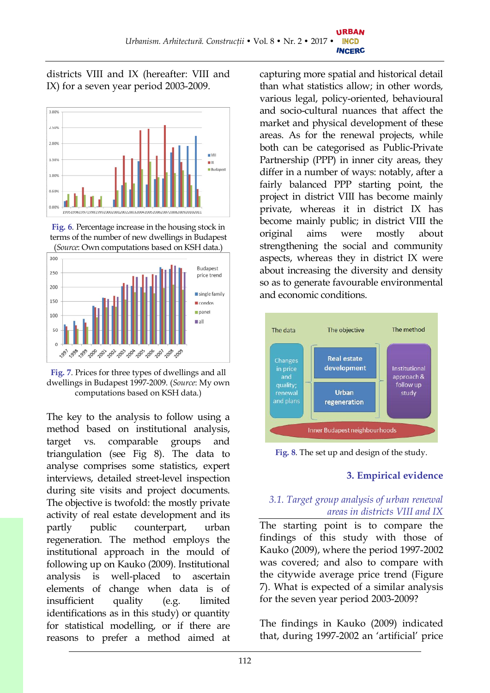districts VIII and IX (hereafter: VIII and IX) for a seven year period 2003-2009.



**Fig. 6**. Percentage increase in the housing stock in terms of the number of new dwellings in Budapest (*Source*: Own computations based on KSH data.)



**Fig. 7**. Prices for three types of dwellings and all dwellings in Budapest 1997-2009. (*Source*: My own computations based on KSH data.)

The key to the analysis to follow using a method based on institutional analysis, target vs. comparable groups and triangulation (see Fig 8). The data to analyse comprises some statistics, expert interviews, detailed street-level inspection during site visits and project documents. The objective is twofold: the mostly private activity of real estate development and its partly public counterpart, urban regeneration. The method employs the institutional approach in the mould of following up on Kauko (2009). Institutional analysis is well-placed to ascertain elements of change when data is of insufficient quality (e.g. limited identifications as in this study) or quantity for statistical modelling, or if there are reasons to prefer a method aimed at

capturing more spatial and historical detail than what statistics allow; in other words, various legal, policy-oriented, behavioural and socio-cultural nuances that affect the market and physical development of these areas. As for the renewal projects, while both can be categorised as Public-Private Partnership (PPP) in inner city areas, they differ in a number of ways: notably, after a fairly balanced PPP starting point, the project in district VIII has become mainly private, whereas it in district IX has become mainly public; in district VIII the original aims were mostly about strengthening the social and community aspects, whereas they in district IX were about increasing the diversity and density so as to generate favourable environmental and economic conditions.



**Fig. 8**. The set up and design of the study.

# **3. Empirical evidence**

# *3.1. Target group analysis of urban renewal areas in districts VIII and IX*

The starting point is to compare the findings of this study with those of Kauko (2009), where the period 1997-2002 was covered; and also to compare with the citywide average price trend (Figure 7). What is expected of a similar analysis for the seven year period 2003-2009?

The findings in Kauko (2009) indicated that, during 1997-2002 an 'artificial' price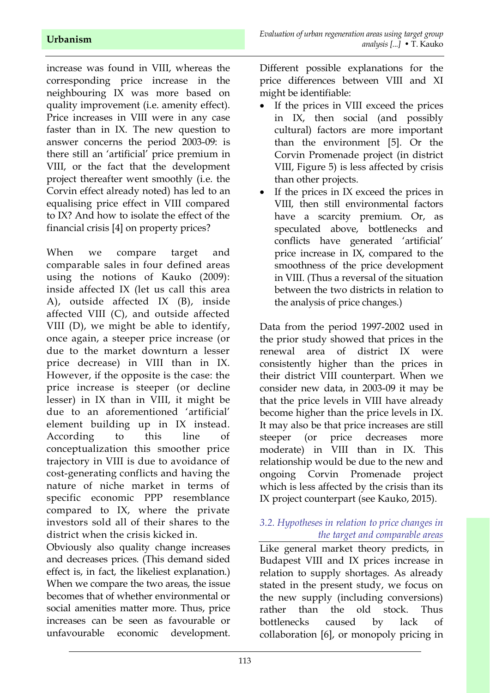increase was found in VIII, whereas the corresponding price increase in the neighbouring IX was more based on quality improvement (i.e. amenity effect). Price increases in VIII were in any case faster than in IX. The new question to answer concerns the period 2003-09: is there still an 'artificial' price premium in VIII, or the fact that the development project thereafter went smoothly (i.e. the Corvin effect already noted) has led to an equalising price effect in VIII compared to IX? And how to isolate the effect of the financial crisis [4] on property prices?

When we compare target and comparable sales in four defined areas using the notions of Kauko (2009): inside affected IX (let us call this area A), outside affected IX (B), inside affected VIII (C), and outside affected VIII (D), we might be able to identify, once again, a steeper price increase (or due to the market downturn a lesser price decrease) in VIII than in IX. However, if the opposite is the case: the price increase is steeper (or decline lesser) in IX than in VIII, it might be due to an aforementioned 'artificial' element building up in IX instead. According to this line of conceptualization this smoother price trajectory in VIII is due to avoidance of cost-generating conflicts and having the nature of niche market in terms of specific economic PPP resemblance compared to IX, where the private investors sold all of their shares to the district when the crisis kicked in.

Obviously also quality change increases and decreases prices. (This demand sided effect is, in fact, the likeliest explanation.) When we compare the two areas, the issue becomes that of whether environmental or social amenities matter more. Thus, price increases can be seen as favourable or unfavourable economic development.

Different possible explanations for the price differences between VIII and XI might be identifiable:

- · If the prices in VIII exceed the prices in IX, then social (and possibly cultural) factors are more important than the environment [5]. Or the Corvin Promenade project (in district VIII, Figure 5) is less affected by crisis than other projects.
- If the prices in IX exceed the prices in VIII, then still environmental factors have a scarcity premium. Or, as speculated above, bottlenecks and conflicts have generated 'artificial' price increase in IX, compared to the smoothness of the price development in VIII. (Thus a reversal of the situation between the two districts in relation to the analysis of price changes.)

Data from the period 1997-2002 used in the prior study showed that prices in the renewal area of district IX were consistently higher than the prices in their district VIII counterpart. When we consider new data, in 2003-09 it may be that the price levels in VIII have already become higher than the price levels in IX. It may also be that price increases are still steeper (or price decreases more moderate) in VIII than in IX. This relationship would be due to the new and ongoing Corvin Promenade project which is less affected by the crisis than its IX project counterpart (see Kauko, 2015).

# *3.2. Hypotheses in relation to price changes in the target and comparable areas*

Like general market theory predicts, in Budapest VIII and IX prices increase in relation to supply shortages. As already stated in the present study, we focus on the new supply (including conversions) rather than the old stock. Thus bottlenecks caused by lack of collaboration [6], or monopoly pricing in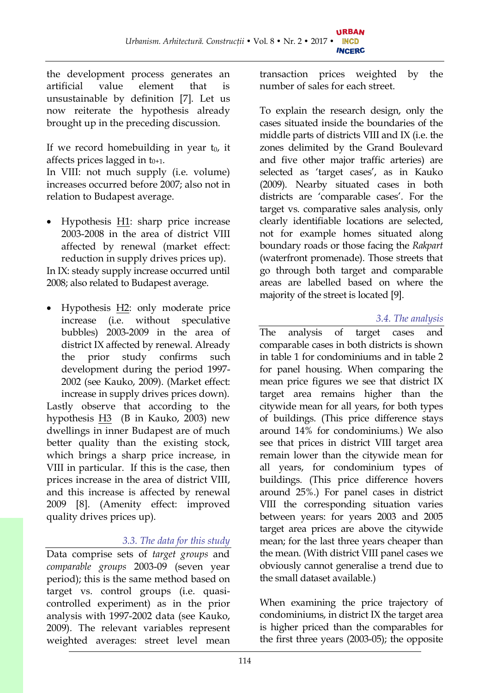the development process generates an artificial value element that is unsustainable by definition [7]. Let us now reiterate the hypothesis already brought up in the preceding discussion.

If we record homebuilding in year  $t_0$ , it affects prices lagged in  $t_{0+1}$ .

In VIII: not much supply (i.e. volume) increases occurred before 2007; also not in relation to Budapest average.

Hypothesis  $H1$ : sharp price increase 2003-2008 in the area of district VIII affected by renewal (market effect: reduction in supply drives prices up).

In IX: steady supply increase occurred until 2008; also related to Budapest average.

· Hypothesis H2: only moderate price increase (i.e. without speculative bubbles) 2003-2009 in the area of district IX affected by renewal. Already the prior study confirms such development during the period 1997- 2002 (see Kauko, 2009). (Market effect: increase in supply drives prices down). Lastly observe that according to the hypothesis H3 (B in Kauko, 2003) new dwellings in inner Budapest are of much better quality than the existing stock, which brings a sharp price increase, in VIII in particular. If this is the case, then prices increase in the area of district VIII, and this increase is affected by renewal 2009 [8]. (Amenity effect: improved quality drives prices up).

# *3.3. The data for this study*

Data comprise sets of *target groups* and *comparable groups* 2003-09 (seven year period); this is the same method based on target vs. control groups (i.e. quasicontrolled experiment) as in the prior analysis with 1997-2002 data (see Kauko, 2009). The relevant variables represent weighted averages: street level mean

transaction prices weighted by the number of sales for each street.

To explain the research design, only the cases situated inside the boundaries of the middle parts of districts VIII and IX (i.e. the zones delimited by the Grand Boulevard and five other major traffic arteries) are selected as 'target cases', as in Kauko (2009). Nearby situated cases in both districts are 'comparable cases'. For the target vs. comparative sales analysis, only clearly identifiable locations are selected, not for example homes situated along boundary roads or those facing the *Rakpart* (waterfront promenade). Those streets that go through both target and comparable areas are labelled based on where the majority of the street is located [9].

# *3.4. The analysis*

The analysis of target cases and comparable cases in both districts is shown in table 1 for condominiums and in table 2 for panel housing. When comparing the mean price figures we see that district IX target area remains higher than the citywide mean for all years, for both types of buildings. (This price difference stays around 14% for condominiums.) We also see that prices in district VIII target area remain lower than the citywide mean for all years, for condominium types of buildings. (This price difference hovers around 25%.) For panel cases in district VIII the corresponding situation varies between years: for years 2003 and 2005 target area prices are above the citywide mean; for the last three years cheaper than the mean. (With district VIII panel cases we obviously cannot generalise a trend due to the small dataset available.)

When examining the price trajectory of condominiums, in district IX the target area is higher priced than the comparables for the first three years (2003-05); the opposite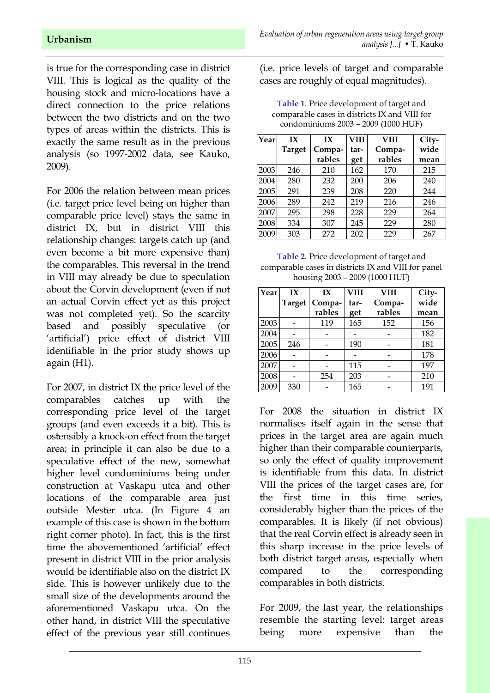between the two districts and on the two types of areas within the districts. This is exactly the same result as in the previous analysis (so 1997-2002 data, see Kauko, 2009).

For 2006 the relation between mean prices (i.e. target price level being on higher than comparable price level) stays the same in district IX, but in district VIII this relationship changes: targets catch up (and even become a bit more expensive than) the comparables. This reversal in the trend in VIII may already be due to speculation about the Corvin development (even if not an actual Corvin effect yet as this project was not completed yet). So the scarcity based and possibly speculative (or 'artificial') price effect of district VIII identifiable in the prior study shows up again (H1).

For 2007, in district IX the price level of the comparables catches up with the corresponding price level of the target groups (and even exceeds it a bit). This is ostensibly a knock-on effect from the target area; in principle it can also be due to a speculative effect of the new, somewhat higher level condominiums being under construction at Vaskapu utca and other locations of the comparable area just outside Mester utca. (In Figure 4 an example of this case is shown in the bottom right corner photo). In fact, this is the first time the abovementioned 'artificial' effect present in district VIII in the prior analysis would be identifiable also on the district IX side. This is however unlikely due to the small size of the developments around the aforementioned Vaskapu utca. On the other hand, in district VIII the speculative effect of the previous year still continues

(i.e. price levels of target and comparable cases are roughly of equal magnitudes).

**Table 1**. Price development of target and comparable cases in districts IX and VIII for condominiums 2003 – 2009 (1000 HUF)

| Year | IX            | IX     | <b>VIII</b> | <b>VIII</b> | City- |
|------|---------------|--------|-------------|-------------|-------|
|      | <b>Target</b> | Compa- | tar-        | Compa-      | wide  |
|      |               | rables | get         | rables      | mean  |
| 2003 | 246           | 210    | 162         | 170         | 215   |
| 2004 | 280           | 232    | 200         | 206         | 240   |
| 2005 | 291           | 239    | 208         | 220         | 244   |
| 2006 | 289           | 242    | 219         | 216         | 246   |
| 2007 | 295           | 298    | 228         | 229         | 264   |
| 2008 | 334           | 307    | 245         | 229         | 280   |
| 2009 | 303           | 272    | 202         | 229         | 267   |

**Table 2**. Price development of target and comparable cases in districts IX and VIII for panel housing 2003 – 2009 (1000 HUF)

| Year | IX            | IX     | VIII | <b>VIII</b> | City- |
|------|---------------|--------|------|-------------|-------|
|      | <b>Target</b> | Compa- | tar- | Compa-      | wide  |
|      |               | rables | get  | rables      | mean  |
| 2003 |               | 119    | 165  | 152         | 156   |
| 2004 |               |        |      |             | 182   |
| 2005 | 246           |        | 190  |             | 181   |
| 2006 |               |        |      |             | 178   |
| 2007 |               |        | 115  |             | 197   |
| 2008 |               | 254    | 203  |             | 210   |
| 2009 | 330           |        | 165  |             | 191   |

For 2008 the situation in district IX normalises itself again in the sense that prices in the target area are again much higher than their comparable counterparts, so only the effect of quality improvement is identifiable from this data. In district VIII the prices of the target cases are, for the first time in this time series, considerably higher than the prices of the comparables. It is likely (if not obvious) that the real Corvin effect is already seen in this sharp increase in the price levels of both district target areas, especially when compared to the corresponding comparables in both districts.

For 2009, the last year, the relationships resemble the starting level: target areas being more expensive than the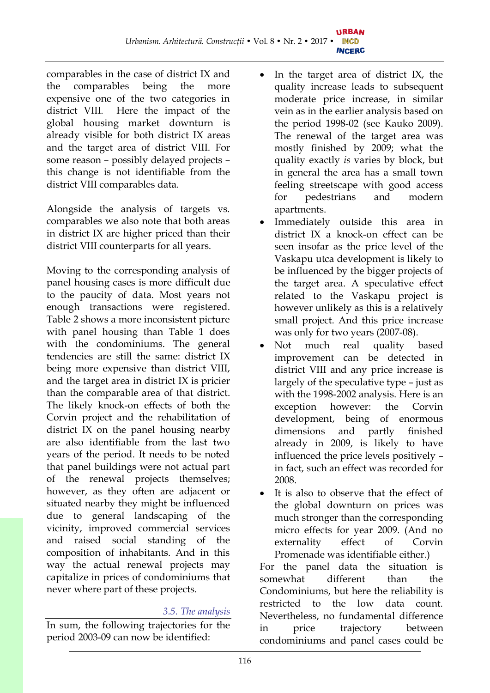comparables in the case of district IX and the comparables being the more expensive one of the two categories in district VIII. Here the impact of the global housing market downturn is already visible for both district IX areas and the target area of district VIII. For some reason – possibly delayed projects – this change is not identifiable from the district VIII comparables data.

Alongside the analysis of targets vs. comparables we also note that both areas in district IX are higher priced than their district VIII counterparts for all years.

Moving to the corresponding analysis of panel housing cases is more difficult due to the paucity of data. Most years not enough transactions were registered. Table 2 shows a more inconsistent picture with panel housing than Table 1 does with the condominiums. The general tendencies are still the same: district IX being more expensive than district VIII, and the target area in district IX is pricier than the comparable area of that district. The likely knock-on effects of both the Corvin project and the rehabilitation of district IX on the panel housing nearby are also identifiable from the last two years of the period. It needs to be noted that panel buildings were not actual part of the renewal projects themselves; however, as they often are adjacent or situated nearby they might be influenced due to general landscaping of the vicinity, improved commercial services and raised social standing of the composition of inhabitants. And in this way the actual renewal projects may capitalize in prices of condominiums that never where part of these projects.

# *3.5. The analysis*

In sum, the following trajectories for the period 2003-09 can now be identified:

- In the target area of district IX, the quality increase leads to subsequent moderate price increase, in similar vein as in the earlier analysis based on the period 1998-02 (see Kauko 2009). The renewal of the target area was mostly finished by 2009; what the quality exactly *is* varies by block, but in general the area has a small town feeling streetscape with good access for pedestrians and modern apartments.
- Immediately outside this area in district IX a knock-on effect can be seen insofar as the price level of the Vaskapu utca development is likely to be influenced by the bigger projects of the target area. A speculative effect related to the Vaskapu project is however unlikely as this is a relatively small project. And this price increase was only for two years (2007-08).
- Not much real quality based improvement can be detected in district VIII and any price increase is largely of the speculative type – just as with the 1998-2002 analysis. Here is an exception however: the Corvin development, being of enormous dimensions and partly finished already in 2009, is likely to have influenced the price levels positively – in fact, such an effect was recorded for 2008.
- It is also to observe that the effect of the global downturn on prices was much stronger than the corresponding micro effects for year 2009. (And no externality effect of Corvin Promenade was identifiable either.)

For the panel data the situation is somewhat different than the Condominiums, but here the reliability is restricted to the low data count. Nevertheless, no fundamental difference in price trajectory between condominiums and panel cases could be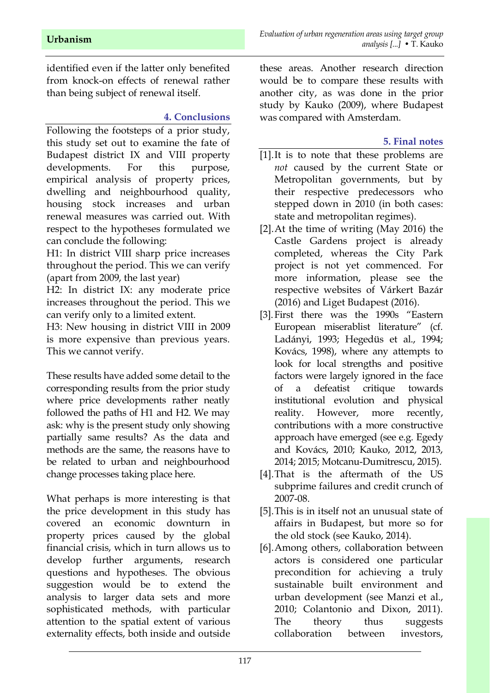identified even if the latter only benefited from knock-on effects of renewal rather than being subject of renewal itself.

#### **4. Conclusions**

Following the footsteps of a prior study, this study set out to examine the fate of Budapest district IX and VIII property developments. For this purpose, empirical analysis of property prices, dwelling and neighbourhood quality, housing stock increases and urban renewal measures was carried out. With respect to the hypotheses formulated we can conclude the following:

H1: In district VIII sharp price increases throughout the period. This we can verify (apart from 2009, the last year)

H2: In district IX: any moderate price increases throughout the period. This we can verify only to a limited extent.

H3: New housing in district VIII in 2009 is more expensive than previous years. This we cannot verify.

These results have added some detail to the corresponding results from the prior study where price developments rather neatly followed the paths of H1 and H2. We may ask: why is the present study only showing partially same results? As the data and methods are the same, the reasons have to be related to urban and neighbourhood change processes taking place here.

What perhaps is more interesting is that the price development in this study has covered an economic downturn in property prices caused by the global financial crisis, which in turn allows us to develop further arguments, research questions and hypotheses. The obvious suggestion would be to extend the analysis to larger data sets and more sophisticated methods, with particular attention to the spatial extent of various externality effects, both inside and outside

these areas. Another research direction would be to compare these results with another city, as was done in the prior study by Kauko (2009), where Budapest was compared with Amsterdam.

### **5. Final notes**

- [1].It is to note that these problems are *not* caused by the current State or Metropolitan governments, but by their respective predecessors who stepped down in 2010 (in both cases: state and metropolitan regimes).
- [2].At the time of writing (May 2016) the Castle Gardens project is already completed, whereas the City Park project is not yet commenced. For more information, please see the respective websites of Várkert Bazár (2016) and Liget Budapest (2016).
- [3].First there was the 1990s "Eastern European miserablist literature" (cf. Ladányi, 1993; Hegedüs et al., 1994; Kovács, 1998), where any attempts to look for local strengths and positive factors were largely ignored in the face of a defeatist critique towards institutional evolution and physical reality. However, more recently, contributions with a more constructive approach have emerged (see e.g. Egedy and Kovács, 2010; Kauko, 2012, 2013, 2014; 2015; Motcanu-Dumitrescu, 2015).
- [4].That is the aftermath of the US subprime failures and credit crunch of 2007-08.
- [5].This is in itself not an unusual state of affairs in Budapest, but more so for the old stock (see Kauko, 2014).
- [6].Among others, collaboration between actors is considered one particular precondition for achieving a truly sustainable built environment and urban development (see Manzi et al., 2010; Colantonio and Dixon, 2011). The theory thus suggests collaboration between investors,